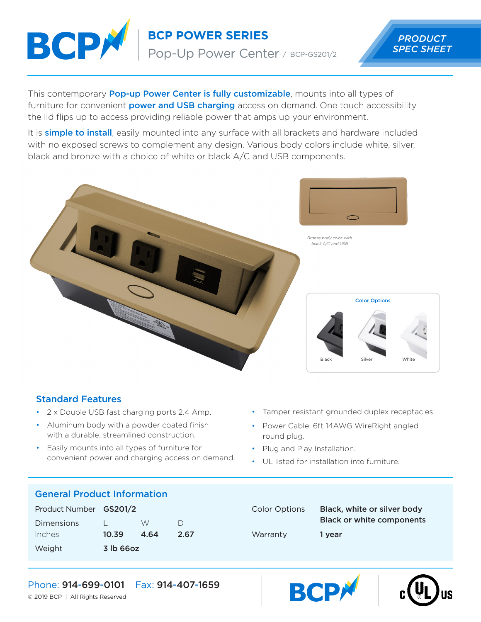

**BCP POWER SERIES** PRODUCT Pop-Up Power Center / BCP-GS201/2

*SPEC SHEET*

This contemporary **Pop-up Power Center is fully customizable**, mounts into all types of furniture for convenient **power and USB charging** access on demand. One touch accessibility the lid flips up to access providing reliable power that amps up your environment.

It is **simple to install**, easily mounted into any surface with all brackets and hardware included with no exposed screws to complement any design. Various body colors include white, silver, black and bronze with a choice of white or black A/C and USB components.



#### Standard Features

- 2 x Double USB fast charging ports 2.4 Amp.
- Aluminum body with a powder coated finish with a durable, streamlined construction.
- Easily mounts into all types of furniture for convenient power and charging access on demand.
- Tamper resistant grounded duplex receptacles.
- Power Cable: 6ft 14AWG WireRight angled round plug.
- Plug and Play Installation.
- UL listed for installation into furniture.

#### General Product Information

| Product Number GS201/2 |           |      |           |
|------------------------|-----------|------|-----------|
| Dimensions             |           | W    | $\vert$ ) |
| Inches                 | 10.39     | 4.64 | 2.67      |
| Weight                 | 3 lb 66oz |      |           |

# Color Options Black, white or silver body Black or white components Warranty 1 year





Phone: 914-699-0101 Fax: 914-407-1659

© 2019 BCP | All Rights Reserved